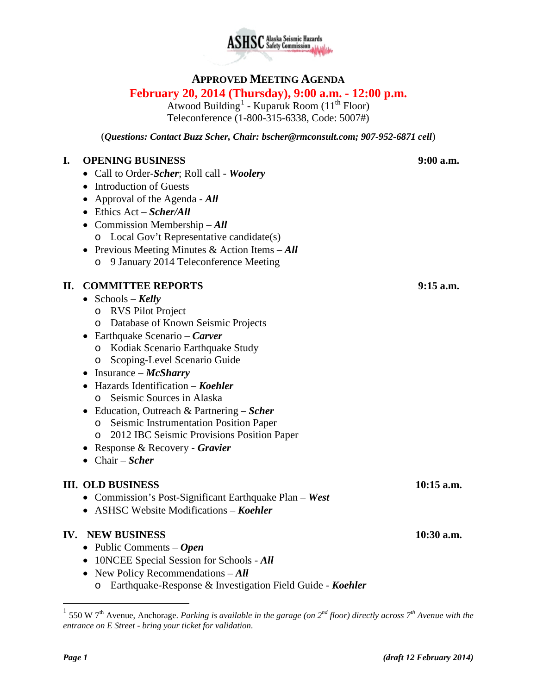

# **APPROVED MEETING AGENDA**

# **February 20, 2014 (Thursday), 9:00 a.m. - 12:00 p.m.**

Atwood Building<sup>[1](#page-0-0)</sup> - Kuparuk Room ( $11<sup>th</sup>$  Floor) Teleconference (1-800-315-6338, Code: 5007#)

(*Questions: Contact Buzz Scher, Chair: [bscher@rmconsult.com;](mailto:bscher@rmconsult.com) 907-952-6871 cell*)

#### **I. OPENING BUSINESS 9:00 a.m.**

- Call to Order-*Scher*; Roll call *Woolery*
- Introduction of Guests
- Approval of the Agenda *All*
- Ethics Act *Scher/All*
- Commission Membership *All*
	- o Local Gov't Representative candidate(s)
- Previous Meeting Minutes & Action Items *All*
	- o 9 January 2014 Teleconference Meeting

#### **II. COMMITTEE REPORTS 9:15 a.m.**

- Schools *Kelly*
	- o RVS Pilot Project
	- o Database of Known Seismic Projects
- Earthquake Scenario *Carver*
	- o Kodiak Scenario Earthquake Study
	- o Scoping-Level Scenario Guide
- Insurance *McSharry*
- Hazards Identification *Koehler*
	- o Seismic Sources in Alaska
- Education, Outreach & Partnering *Scher*
	- o Seismic Instrumentation Position Paper
	- o 2012 IBC Seismic Provisions Position Paper
- Response & Recovery *Gravier*
- Chair *Scher*

#### **III. OLD BUSINESS 10:15 a.m.**

- Commission's Post-Significant Earthquake Plan *West*
- ASHSC Website Modifications *Koehler*

#### **IV. NEW BUSINESS 10:30 a.m.**

- Public Comments *Open*
- 10NCEE Special Session for Schools *All*
- New Policy Recommendations All
	- o Earthquake-Response & Investigation Field Guide *Koehler*

<span id="page-0-0"></span> <sup>1</sup> 550 W 7th Avenue, Anchorage. *Parking is available in the garage (on 2nd floor) directly across 7th Avenue with the entrance on E Street - bring your ticket for validation.*